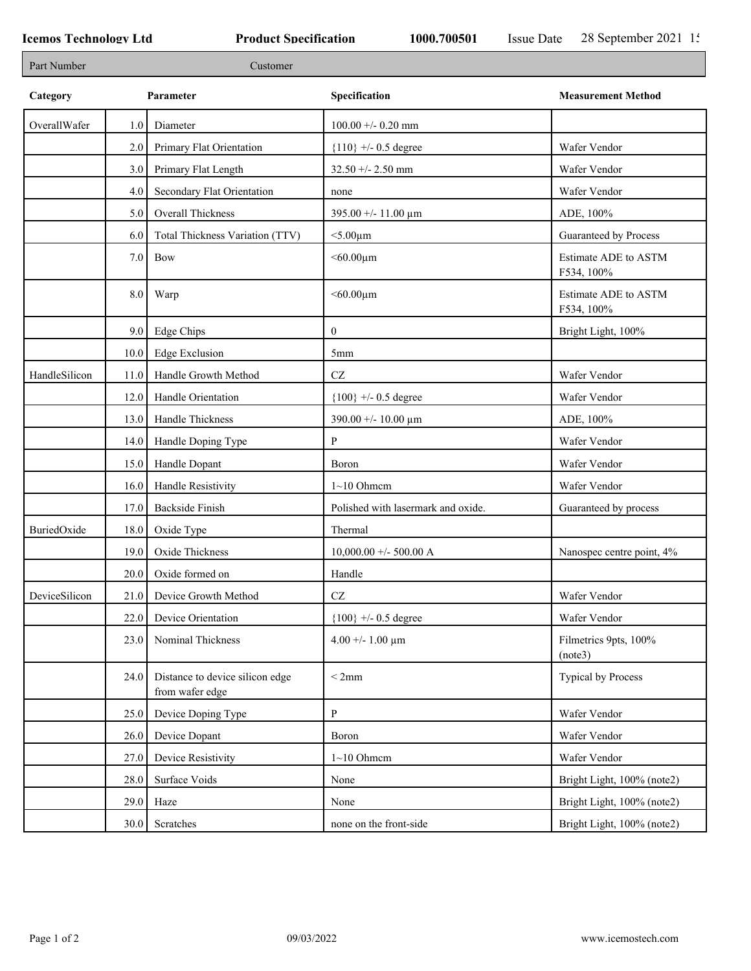٦

| Part Number   |                  | Customer                                           |                                     |                                    |
|---------------|------------------|----------------------------------------------------|-------------------------------------|------------------------------------|
| Category      |                  | Parameter                                          | Specification                       | <b>Measurement Method</b>          |
| OverallWafer  | 1.0              | Diameter                                           | $100.00 + -0.20$ mm                 |                                    |
|               | 2.0              | Primary Flat Orientation                           | ${110}$ +/- 0.5 degree              | Wafer Vendor                       |
|               | 3.0              | Primary Flat Length                                | $32.50 + - 2.50$ mm                 | Wafer Vendor                       |
|               | 4.0              | Secondary Flat Orientation                         | none                                | Wafer Vendor                       |
|               | 5.0              | Overall Thickness                                  | 395.00 +/- 11.00 μm                 | ADE, 100%                          |
|               | 6.0              | Total Thickness Variation (TTV)                    | $<$ 5.00 $\mu$ m                    | Guaranteed by Process              |
|               | 7.0              | Bow                                                | $<$ 60.00 $\mu$ m                   | Estimate ADE to ASTM<br>F534, 100% |
|               | 8.0              | Warp                                               | $<$ 60.00 $\mu$ m                   | Estimate ADE to ASTM<br>F534, 100% |
|               | 9.0 <sub>1</sub> | Edge Chips                                         | $\mathbf{0}$                        | Bright Light, 100%                 |
|               | 10.0             | <b>Edge Exclusion</b>                              | 5mm                                 |                                    |
| HandleSilicon | 11.0             | Handle Growth Method                               | $\operatorname{CZ}$                 | Wafer Vendor                       |
|               | 12.0             | Handle Orientation                                 | ${100}$ +/- 0.5 degree              | Wafer Vendor                       |
|               | 13.0             | Handle Thickness                                   | $390.00 + - 10.00 \mu m$            | ADE, 100%                          |
|               | 14.0             | Handle Doping Type                                 | P                                   | Wafer Vendor                       |
|               | 15.0             | Handle Dopant                                      | Boron                               | Wafer Vendor                       |
|               | 16.0             | Handle Resistivity                                 | $1~10$ Ohmem                        | Wafer Vendor                       |
|               | 17.0             | <b>Backside Finish</b>                             | Polished with lasermark and oxide.  | Guaranteed by process              |
| BuriedOxide   | 18.0             | Oxide Type                                         | Thermal                             |                                    |
|               | 19.0             | Oxide Thickness                                    | $10,000.00 +/- 500.00 A$            | Nanospec centre point, 4%          |
|               | 20.0             | Oxide formed on                                    | Handle                              |                                    |
| DeviceSilicon | 21.0             | Device Growth Method                               | $\operatorname{CZ}$                 | Wafer Vendor                       |
|               | 22.0             | Device Orientation                                 | ${100}$ +/- 0.5 degree              | Wafer Vendor                       |
|               | 23.0             | Nominal Thickness                                  | $4.00 + - 1.00 \text{ }\mu\text{m}$ | Filmetrics 9pts, 100%<br>(note3)   |
|               | 24.0             | Distance to device silicon edge<br>from wafer edge | < 2mm                               | Typical by Process                 |
|               | 25.0             | Device Doping Type                                 | $\mathbf{P}$                        | Wafer Vendor                       |
|               | 26.0             | Device Dopant                                      | Boron                               | Wafer Vendor                       |
|               | 27.0             | Device Resistivity                                 | $1~10$ Ohmem                        | Wafer Vendor                       |
|               | 28.0             | Surface Voids                                      | None                                | Bright Light, 100% (note2)         |
|               | 29.0             | Haze                                               | None                                | Bright Light, 100% (note2)         |
|               | 30.0             | Scratches                                          | none on the front-side              | Bright Light, 100% (note2)         |